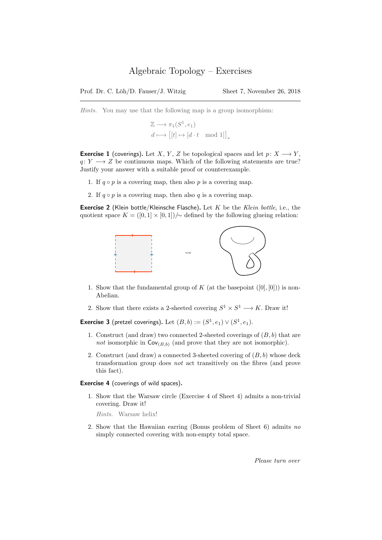Hints. You may use that the following map is a group isomorphism:

$$
\mathbb{Z} \longrightarrow \pi_1(S^1, e_1)
$$
  

$$
d \longmapsto [[t] \mapsto [d \cdot t \mod 1]]_*
$$

**Exercise 1** (coverings). Let X, Y, Z be topological spaces and let  $p: X \longrightarrow Y$ ,  $q: Y \longrightarrow Z$  be continuous maps. Which of the following statements are true? Justify your answer with a suitable proof or counterexample.

- 1. If  $q \circ p$  is a covering map, then also p is a covering map.
- 2. If  $q \circ p$  is a covering map, then also q is a covering map.

Exercise 2 (Klein bottle/Kleinsche Flasche). Let  $K$  be the  $Klein$  bottle, i.e., the quotient space  $K = ([0, 1] \times [0, 1])/\sim$  defined by the following glueing relation:



- 1. Show that the fundamental group of K (at the basepoint  $([0],[0])$ ) is non-Abelian.
- 2. Show that there exists a 2-sheeted covering  $S^1 \times S^1 \longrightarrow K$ . Draw it!

**Exercise 3** (pretzel coverings). Let  $(B, b) := (S^1, e_1) \vee (S^1, e_1)$ .

- 1. Construct (and draw) two connected 2-sheeted coverings of  $(B, b)$  that are not isomorphic in  $\text{Cov}_{(B,b)}$  (and prove that they are not isomorphic).
- 2. Construct (and draw) a connected 3-sheeted covering of  $(B, b)$  whose deck transformation group does not act transitively on the fibres (and prove this fact).

Exercise 4 (coverings of wild spaces).

1. Show that the Warsaw circle (Exercise 4 of Sheet 4) admits a non-trivial covering. Draw it!

Hints. Warsaw helix!

2. Show that the Hawaiian earring (Bonus problem of Sheet 6) admits no simply connected covering with non-empty total space.